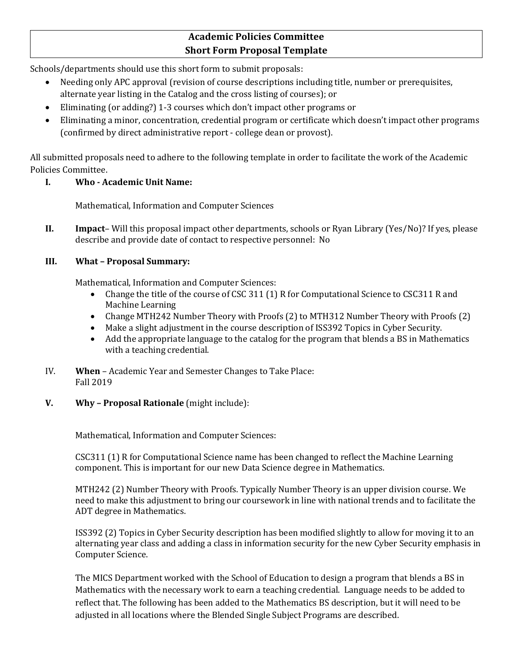# **Academic Policies Committee Short Form Proposal Template**

Schools/departments should use this short form to submit proposals:

- Needing only APC approval (revision of course descriptions including title, number or prerequisites, alternate year listing in the Catalog and the cross listing of courses); or
- Eliminating (or adding?) 1-3 courses which don't impact other programs or
- Eliminating a minor, concentration, credential program or certificate which doesn't impact other programs (confirmed by direct administrative report - college dean or provost).

All submitted proposals need to adhere to the following template in order to facilitate the work of the Academic Policies Committee.

### **I. Who - Academic Unit Name:**

Mathematical, Information and Computer Sciences

**II. Impact**– Will this proposal impact other departments, schools or Ryan Library (Yes/No)? If yes, please describe and provide date of contact to respective personnel: No

### **III. What – Proposal Summary:**

Mathematical, Information and Computer Sciences:

- Change the title of the course of CSC 311 (1) R for Computational Science to CSC311 R and Machine Learning
- Change MTH242 Number Theory with Proofs (2) to MTH312 Number Theory with Proofs (2)
- Make a slight adjustment in the course description of ISS392 Topics in Cyber Security.
- Add the appropriate language to the catalog for the program that blends a BS in Mathematics with a teaching credential.
- IV. **When** Academic Year and Semester Changes to Take Place: Fall 2019
- **V. Why – Proposal Rationale** (might include):

Mathematical, Information and Computer Sciences:

CSC311 (1) R for Computational Science name has been changed to reflect the Machine Learning component. This is important for our new Data Science degree in Mathematics.

MTH242 (2) Number Theory with Proofs. Typically Number Theory is an upper division course. We need to make this adjustment to bring our coursework in line with national trends and to facilitate the ADT degree in Mathematics.

ISS392 (2) Topics in Cyber Security description has been modified slightly to allow for moving it to an alternating year class and adding a class in information security for the new Cyber Security emphasis in Computer Science.

The MICS Department worked with the School of Education to design a program that blends a BS in Mathematics with the necessary work to earn a teaching credential. Language needs to be added to reflect that. The following has been added to the Mathematics BS description, but it will need to be adjusted in all locations where the Blended Single Subject Programs are described.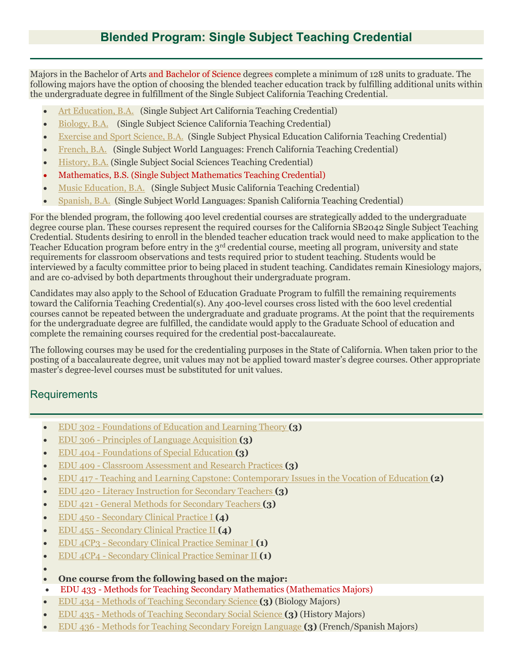Majors in the Bachelor of Arts and Bachelor of Science degrees complete a minimum of 128 units to graduate. The following majors have the option of choosing the blended teacher education track by fulfilling additional units within the undergraduate degree in fulfillment of the Single Subject California Teaching Credential.

- [Art Education, B.A.](https://catalog.pointloma.edu/preview_program.php?catoid=35&poid=2412) (Single Subject Art California Teaching Credential)
- [Biology, B.A.](https://catalog.pointloma.edu/preview_program.php?catoid=35&poid=2417) (Single Subject Science California Teaching Credential)
- [Exercise and Sport Science, B.A.](https://catalog.pointloma.edu/preview_program.php?catoid=35&poid=2527) (Single Subject Physical Education California Teaching Credential)
- [French, B.A.](https://catalog.pointloma.edu/preview_program.php?catoid=35&poid=2514) (Single Subject World Languages: French California Teaching Credential)
- [History, B.A.](https://catalog.pointloma.edu/preview_program.php?catoid=35&poid=2500) (Single Subject Social Sciences Teaching Credential)
- Mathematics, B.S. (Single Subject Mathematics Teaching Credential)
- [Music Education, B.A.](https://catalog.pointloma.edu/preview_program.php?catoid=35&poid=2472) (Single Subject Music California Teaching Credential)
- [Spanish, B.A.](https://catalog.pointloma.edu/preview_program.php?catoid=35&poid=2492) (Single Subject World Languages: Spanish California Teaching Credential)

For the blended program, the following 400 level credential courses are strategically added to the undergraduate degree course plan. These courses represent the required courses for the California SB2042 Single Subject Teaching Credential. Students desiring to enroll in the blended teacher education track would need to make application to the Teacher Education program before entry in the 3<sup>rd</sup> credential course, meeting all program, university and state requirements for classroom observations and tests required prior to student teaching. Students would be interviewed by a faculty committee prior to being placed in student teaching. Candidates remain Kinesiology majors, and are co-advised by both departments throughout their undergraduate program.

Candidates may also apply to the School of Education Graduate Program to fulfill the remaining requirements toward the California Teaching Credential(s). Any 400-level courses cross listed with the 600 level credential courses cannot be repeated between the undergraduate and graduate programs. At the point that the requirements for the undergraduate degree are fulfilled, the candidate would apply to the Graduate School of education and complete the remaining courses required for the credential post-baccalaureate.

The following courses may be used for the credentialing purposes in the State of California. When taken prior to the posting of a baccalaureate degree, unit values may not be applied toward master's degree courses. Other appropriate master's degree-level courses must be substituted for unit values.

## Requirements

- EDU 302 [Foundations of Education and Learning Theory](https://catalog.pointloma.edu/preview_program.php?catoid=35&poid=2500&returnto=2119) **(3)**
- EDU 306 [Principles of Language Acquisition](https://catalog.pointloma.edu/preview_program.php?catoid=35&poid=2500&returnto=2119) **(3)**
- EDU 404 [Foundations of Special Education](https://catalog.pointloma.edu/preview_program.php?catoid=35&poid=2500&returnto=2119) **(3)**
- EDU 409 [Classroom Assessment and Research Practices](https://catalog.pointloma.edu/preview_program.php?catoid=35&poid=2500&returnto=2119) **(3)**
- EDU 417 [Teaching and Learning Capstone: Contemporary Issues in the Vocation of Education](https://catalog.pointloma.edu/preview_program.php?catoid=35&poid=2500&returnto=2119) **(2)**
- EDU 420 [Literacy Instruction for Secondary Teachers](https://catalog.pointloma.edu/preview_program.php?catoid=35&poid=2500&returnto=2119) **(3)**
- EDU 421 [General Methods for Secondary Teachers](https://catalog.pointloma.edu/preview_program.php?catoid=35&poid=2500&returnto=2119) **(3)**
- EDU 450 [Secondary Clinical Practice I](https://catalog.pointloma.edu/preview_program.php?catoid=35&poid=2500&returnto=2119) **(4)**
- EDU 455 [Secondary Clinical Practice II](https://catalog.pointloma.edu/preview_program.php?catoid=35&poid=2500&returnto=2119) **(4)**
- EDU 4CP3 [Secondary Clinical Practice Seminar I](https://catalog.pointloma.edu/preview_program.php?catoid=35&poid=2500&returnto=2119) **(1)**
- EDU 4CP4 [Secondary Clinical Practice Seminar II](https://catalog.pointloma.edu/preview_program.php?catoid=35&poid=2500&returnto=2119) **(1)**

•

- **One course from the following based on the major:**
- EDU 433 Methods for Teaching Secondary Mathematics (Mathematics Majors)
- EDU 434 [Methods of Teaching Secondary Science](https://catalog.pointloma.edu/preview_program.php?catoid=35&poid=2500&returnto=2119) **(3)** (Biology Majors)
- EDU 435 [Methods of Teaching Secondary Social Science](https://catalog.pointloma.edu/preview_program.php?catoid=35&poid=2500&returnto=2119) **(3)** (History Majors)
- EDU 436 [Methods for Teaching Secondary Foreign Language](https://catalog.pointloma.edu/preview_program.php?catoid=35&poid=2500&returnto=2119) **(3)** (French/Spanish Majors)